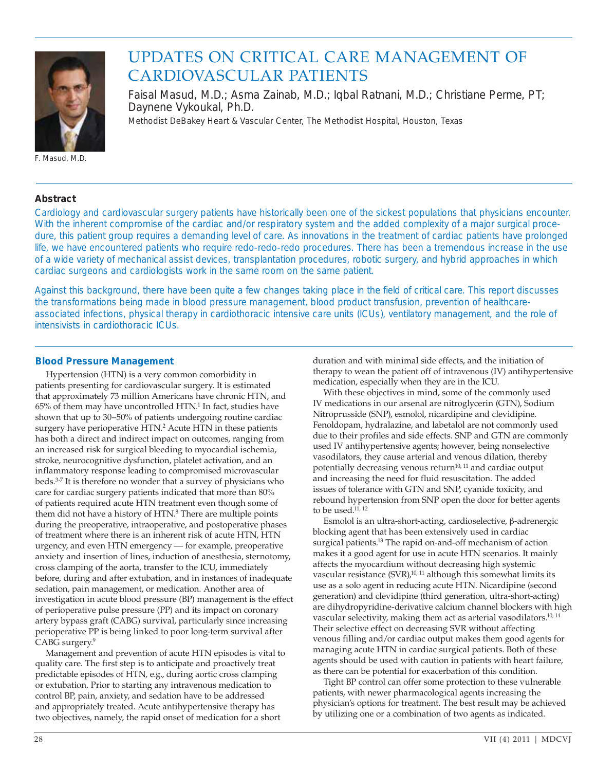

# UPDATES ON CRITICAL CARE MANAGEMENT OF CARDIOVASCULAR PATIENTS

Faisal Masud, M.D.; Asma Zainab, M.D.; Iqbal Ratnani, M.D.; Christiane Perme, PT; Daynene Vykoukal, Ph.D. *Methodist DeBakey Heart & Vascular Center, The Methodist Hospital, Houston, Texas*

F. Masud, M.D.

## **Abstract**

Cardiology and cardiovascular surgery patients have historically been one of the sickest populations that physicians encounter. With the inherent compromise of the cardiac and/or respiratory system and the added complexity of a major surgical procedure, this patient group requires a demanding level of care. As innovations in the treatment of cardiac patients have prolonged life, we have encountered patients who require redo-redo-redo procedures. There has been a tremendous increase in the use of a wide variety of mechanical assist devices, transplantation procedures, robotic surgery, and hybrid approaches in which cardiac surgeons and cardiologists work in the same room on the same patient.

Against this background, there have been quite a few changes taking place in the field of critical care. This report discusses the transformations being made in blood pressure management, blood product transfusion, prevention of healthcareassociated infections, physical therapy in cardiothoracic intensive care units (ICUs), ventilatory management, and the role of intensivists in cardiothoracic ICUs.

## **Blood Pressure Management**

Hypertension (HTN) is a very common comorbidity in patients presenting for cardiovascular surgery. It is estimated that approximately 73 million Americans have chronic HTN, and  $65\%$  of them may have uncontrolled  $HTN<sup>1</sup>$  In fact, studies have shown that up to 30–50% of patients undergoing routine cardiac surgery have perioperative HTN.<sup>2</sup> Acute HTN in these patients has both a direct and indirect impact on outcomes, ranging from an increased risk for surgical bleeding to myocardial ischemia, stroke, neurocognitive dysfunction, platelet activation, and an inflammatory response leading to compromised microvascular beds.3-7 It is therefore no wonder that a survey of physicians who care for cardiac surgery patients indicated that more than 80% of patients required acute HTN treatment even though some of them did not have a history of HTN.<sup>8</sup> There are multiple points during the preoperative, intraoperative, and postoperative phases of treatment where there is an inherent risk of acute HTN, HTN urgency, and even HTN emergency — for example, preoperative anxiety and insertion of lines, induction of anesthesia, sternotomy, cross clamping of the aorta, transfer to the ICU, immediately before, during and after extubation, and in instances of inadequate sedation, pain management, or medication. Another area of investigation in acute blood pressure (BP) management is the effect of perioperative pulse pressure (PP) and its impact on coronary artery bypass graft (CABG) survival, particularly since increasing perioperative PP is being linked to poor long-term survival after CABG surgery.9

Management and prevention of acute HTN episodes is vital to quality care. The first step is to anticipate and proactively treat predictable episodes of HTN, e.g., during aortic cross clamping or extubation. Prior to starting any intravenous medication to control BP, pain, anxiety, and sedation have to be addressed and appropriately treated. Acute antihypertensive therapy has two objectives, namely, the rapid onset of medication for a short

duration and with minimal side effects, and the initiation of therapy to wean the patient off of intravenous (IV) antihypertensive medication, especially when they are in the ICU.

With these objectives in mind, some of the commonly used IV medications in our arsenal are nitroglycerin (GTN), Sodium Nitroprusside (SNP), esmolol, nicardipine and clevidipine. Fenoldopam, hydralazine, and labetalol are not commonly used due to their profiles and side effects. SNP and GTN are commonly used IV antihypertensive agents; however, being nonselective vasodilators, they cause arterial and venous dilation, thereby potentially decreasing venous return $10, 11$  and cardiac output and increasing the need for fluid resuscitation. The added issues of tolerance with GTN and SNP, cyanide toxicity, and rebound hypertension from SNP open the door for better agents to be used.<sup>11, 12</sup>

Esmolol is an ultra-short-acting, cardioselective,  $\beta$ -adrenergic blocking agent that has been extensively used in cardiac surgical patients.<sup>13</sup> The rapid on-and-off mechanism of action makes it a good agent for use in acute HTN scenarios. It mainly affects the myocardium without decreasing high systemic vascular resistance (SVR),<sup>10, 11</sup> although this somewhat limits its use as a solo agent in reducing acute HTN. Nicardipine (second generation) and clevidipine (third generation, ultra-short-acting) are dihydropyridine-derivative calcium channel blockers with high vascular selectivity, making them act as arterial vasodilators.<sup>10, 14</sup> Their selective effect on decreasing SVR without affecting venous filling and/or cardiac output makes them good agents for managing acute HTN in cardiac surgical patients. Both of these agents should be used with caution in patients with heart failure, as there can be potential for exacerbation of this condition.

Tight BP control can offer some protection to these vulnerable patients, with newer pharmacological agents increasing the physician's options for treatment. The best result may be achieved by utilizing one or a combination of two agents as indicated.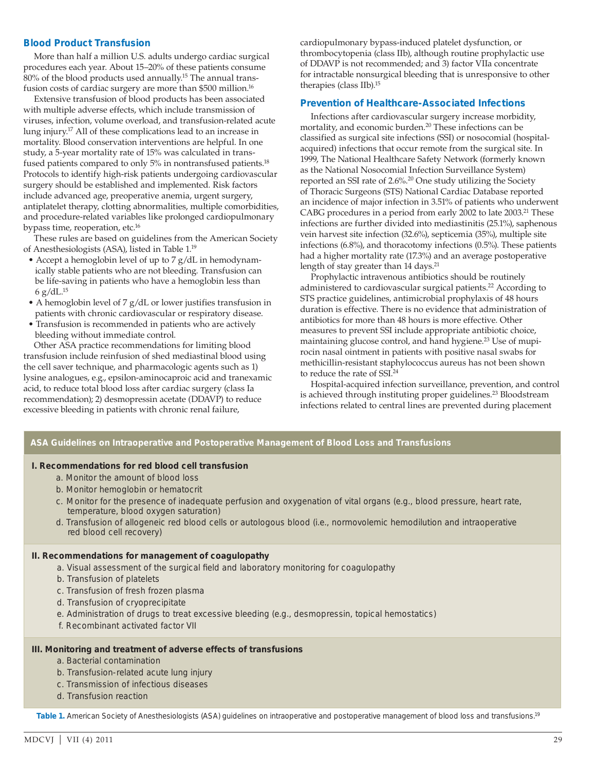### **Blood Product Transfusion**

More than half a million U.S. adults undergo cardiac surgical procedures each year. About 15–20% of these patients consume 80% of the blood products used annually.<sup>15</sup> The annual transfusion costs of cardiac surgery are more than \$500 million.<sup>16</sup>

Extensive transfusion of blood products has been associated with multiple adverse effects, which include transmission of viruses, infection, volume overload, and transfusion-related acute lung injury.<sup>17</sup> All of these complications lead to an increase in mortality. Blood conservation interventions are helpful. In one study, a 5-year mortality rate of 15% was calculated in transfused patients compared to only 5% in nontransfused patients.<sup>18</sup> Protocols to identify high-risk patients undergoing cardiovascular surgery should be established and implemented. Risk factors include advanced age, preoperative anemia, urgent surgery, antiplatelet therapy, clotting abnormalities, multiple comorbidities, and procedure-related variables like prolonged cardiopulmonary bypass time, reoperation, etc.16

These rules are based on guidelines from the American Society of Anesthesiologists (ASA), listed in Table 1.19

- Accept a hemoglobin level of up to 7 g/dL in hemodynamically stable patients who are not bleeding. Transfusion can be life-saving in patients who have a hemoglobin less than 6 g/dL.15
- A hemoglobin level of 7 g/dL or lower justifies transfusion in patients with chronic cardiovascular or respiratory disease.
- Transfusion is recommended in patients who are actively bleeding without immediate control.

Other ASA practice recommendations for limiting blood transfusion include reinfusion of shed mediastinal blood using the cell saver technique, and pharmacologic agents such as 1) lysine analogues, e.g., epsilon-aminocaproic acid and tranexamic acid, to reduce total blood loss after cardiac surgery (class Ia recommendation); 2) desmopressin acetate (DDAVP) to reduce excessive bleeding in patients with chronic renal failure,

cardiopulmonary bypass-induced platelet dysfunction, or thrombocytopenia (class IIb), although routine prophylactic use of DDAVP is not recommended; and 3) factor VIIa concentrate for intractable nonsurgical bleeding that is unresponsive to other therapies (class IIb).15

#### **Prevention of Healthcare-Associated Infections**

Infections after cardiovascular surgery increase morbidity, mortality, and economic burden.20 These infections can be classified as surgical site infections (SSI) or nosocomial (hospitalacquired) infections that occur remote from the surgical site. In 1999, The National Healthcare Safety Network (formerly known as the National Nosocomial Infection Surveillance System) reported an SSI rate of 2.6%.<sup>20</sup> One study utilizing the Society of Thoracic Surgeons (STS) National Cardiac Database reported an incidence of major infection in 3.51% of patients who underwent CABG procedures in a period from early 2002 to late 2003.<sup>21</sup> These infections are further divided into mediastinitis (25.1%), saphenous vein harvest site infection (32.6%), septicemia (35%), multiple site infections (6.8%), and thoracotomy infections (0.5%). These patients had a higher mortality rate (17.3%) and an average postoperative length of stay greater than 14 days.<sup>21</sup>

Prophylactic intravenous antibiotics should be routinely administered to cardiovascular surgical patients.<sup>22</sup> According to STS practice guidelines, antimicrobial prophylaxis of 48 hours duration is effective. There is no evidence that administration of antibiotics for more than 48 hours is more effective. Other measures to prevent SSI include appropriate antibiotic choice, maintaining glucose control, and hand hygiene.<sup>23</sup> Use of mupirocin nasal ointment in patients with positive nasal swabs for methicillin-resistant staphylococcus aureus has not been shown to reduce the rate of SSI.24

Hospital-acquired infection surveillance, prevention, and control is achieved through instituting proper guidelines.<sup>23</sup> Bloodstream infections related to central lines are prevented during placement

#### **ASA Guidelines on Intraoperative and Postoperative Management of Blood Loss and Transfusions**

#### **I. Recommendations for red blood cell transfusion**

- a. Monitor the amount of blood loss
- b. Monitor hemoglobin or hematocrit
- c. Monitor for the presence of inadequate perfusion and oxygenation of vital organs (e.g., blood pressure, heart rate, temperature, blood oxygen saturation)
- d. Transfusion of allogeneic red blood cells or autologous blood (i.e., normovolemic hemodilution and intraoperative red blood cell recovery)

#### **II. Recommendations for management of coagulopathy**

- a. Visual assessment of the surgical field and laboratory monitoring for coagulopathy
- b. Transfusion of platelets
- c. Transfusion of fresh frozen plasma
- d. Transfusion of cryoprecipitate
- e. Administration of drugs to treat excessive bleeding (e.g., desmopressin, topical hemostatics)
- f. Recombinant activated factor VII

#### **III. Monitoring and treatment of adverse effects of transfusions**

- a. Bacterial contamination
- b. Transfusion-related acute lung injury
- c. Transmission of infectious diseases
- d. Transfusion reaction

**Table 1.** American Society of Anesthesiologists (ASA) guidelines on intraoperative and postoperative management of blood loss and transfusions.19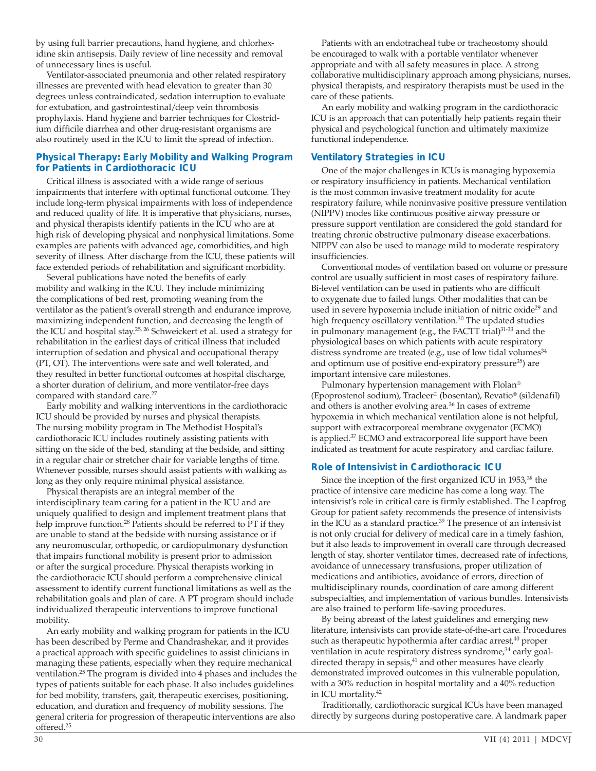by using full barrier precautions, hand hygiene, and chlorhexidine skin antisepsis. Daily review of line necessity and removal of unnecessary lines is useful.

Ventilator-associated pneumonia and other related respiratory illnesses are prevented with head elevation to greater than 30 degrees unless contraindicated, sedation interruption to evaluate for extubation, and gastrointestinal/deep vein thrombosis prophylaxis. Hand hygiene and barrier techniques for Clostridium difficile diarrhea and other drug-resistant organisms are also routinely used in the ICU to limit the spread of infection.

## **Physical Therapy: Early Mobility and Walking Program for Patients in Cardiothoracic ICU**

Critical illness is associated with a wide range of serious impairments that interfere with optimal functional outcome. They include long-term physical impairments with loss of independence and reduced quality of life. It is imperative that physicians, nurses, and physical therapists identify patients in the ICU who are at high risk of developing physical and nonphysical limitations. Some examples are patients with advanced age, comorbidities, and high severity of illness. After discharge from the ICU, these patients will face extended periods of rehabilitation and significant morbidity.

Several publications have noted the benefits of early mobility and walking in the ICU. They include minimizing the complications of bed rest, promoting weaning from the ventilator as the patient's overall strength and endurance improve, maximizing independent function, and decreasing the length of the ICU and hospital stay.<sup>25, 26</sup> Schweickert et al. used a strategy for rehabilitation in the earliest days of critical illness that included interruption of sedation and physical and occupational therapy (PT, OT). The interventions were safe and well tolerated, and they resulted in better functional outcomes at hospital discharge, a shorter duration of delirium, and more ventilator-free days compared with standard care.<sup>27</sup>

Early mobility and walking interventions in the cardiothoracic ICU should be provided by nurses and physical therapists. The nursing mobility program in The Methodist Hospital's cardiothoracic ICU includes routinely assisting patients with sitting on the side of the bed, standing at the bedside, and sitting in a regular chair or stretcher chair for variable lengths of time. Whenever possible, nurses should assist patients with walking as long as they only require minimal physical assistance.

Physical therapists are an integral member of the interdisciplinary team caring for a patient in the ICU and are uniquely qualified to design and implement treatment plans that help improve function.<sup>28</sup> Patients should be referred to PT if they are unable to stand at the bedside with nursing assistance or if any neuromuscular, orthopedic, or cardiopulmonary dysfunction that impairs functional mobility is present prior to admission or after the surgical procedure. Physical therapists working in the cardiothoracic ICU should perform a comprehensive clinical assessment to identify current functional limitations as well as the rehabilitation goals and plan of care. A PT program should include individualized therapeutic interventions to improve functional mobility.

An early mobility and walking program for patients in the ICU has been described by Perme and Chandrashekar, and it provides a practical approach with specific guidelines to assist clinicians in managing these patients, especially when they require mechanical ventilation.25 The program is divided into 4 phases and includes the types of patients suitable for each phase. It also includes guidelines for bed mobility, transfers, gait, therapeutic exercises, positioning, education, and duration and frequency of mobility sessions. The general criteria for progression of therapeutic interventions are also offered.25

Patients with an endotracheal tube or tracheostomy should be encouraged to walk with a portable ventilator whenever appropriate and with all safety measures in place. A strong collaborative multidisciplinary approach among physicians, nurses, physical therapists, and respiratory therapists must be used in the care of these patients.

An early mobility and walking program in the cardiothoracic ICU is an approach that can potentially help patients regain their physical and psychological function and ultimately maximize functional independence.

## **Ventilatory Strategies in ICU**

One of the major challenges in ICUs is managing hypoxemia or respiratory insufficiency in patients. Mechanical ventilation is the most common invasive treatment modality for acute respiratory failure, while noninvasive positive pressure ventilation (NIPPV) modes like continuous positive airway pressure or pressure support ventilation are considered the gold standard for treating chronic obstructive pulmonary disease exacerbations. NIPPV can also be used to manage mild to moderate respiratory insufficiencies.

Conventional modes of ventilation based on volume or pressure control are usually sufficient in most cases of respiratory failure. Bi-level ventilation can be used in patients who are difficult to oxygenate due to failed lungs. Other modalities that can be used in severe hypoxemia include initiation of nitric oxide<sup>29</sup> and high frequency oscillatory ventilation.<sup>30</sup> The updated studies in pulmonary management (e.g., the FACTT trial)<sup>31-33</sup> and the physiological bases on which patients with acute respiratory distress syndrome are treated (e.g., use of low tidal volumes<sup>34</sup> and optimum use of positive end-expiratory pressure<sup>35</sup>) are important intensive care milestones.

Pulmonary hypertension management with Flolan® (Epoprostenol sodium), Tracleer® (bosentan), Revatio® (sildenafil) and others is another evolving area.<sup>36</sup> In cases of extreme hypoxemia in which mechanical ventilation alone is not helpful, support with extracorporeal membrane oxygenator (ECMO) is applied.37 ECMO and extracorporeal life support have been indicated as treatment for acute respiratory and cardiac failure.

## **Role of Intensivist in Cardiothoracic ICU**

Since the inception of the first organized ICU in 1953,<sup>38</sup> the practice of intensive care medicine has come a long way. The intensivist's role in critical care is firmly established. The Leapfrog Group for patient safety recommends the presence of intensivists in the ICU as a standard practice.<sup>39</sup> The presence of an intensivist is not only crucial for delivery of medical care in a timely fashion, but it also leads to improvement in overall care through decreased length of stay, shorter ventilator times, decreased rate of infections, avoidance of unnecessary transfusions, proper utilization of medications and antibiotics, avoidance of errors, direction of multidisciplinary rounds, coordination of care among different subspecialties, and implementation of various bundles. Intensivists are also trained to perform life-saving procedures.

By being abreast of the latest guidelines and emerging new literature, intensivists can provide state-of-the-art care. Procedures such as therapeutic hypothermia after cardiac arrest,<sup>40</sup> proper ventilation in acute respiratory distress syndrome,<sup>34</sup> early goaldirected therapy in sepsis,<sup>41</sup> and other measures have clearly demonstrated improved outcomes in this vulnerable population, with a 30% reduction in hospital mortality and a 40% reduction in ICU mortality.42

Traditionally, cardiothoracic surgical ICUs have been managed directly by surgeons during postoperative care. A landmark paper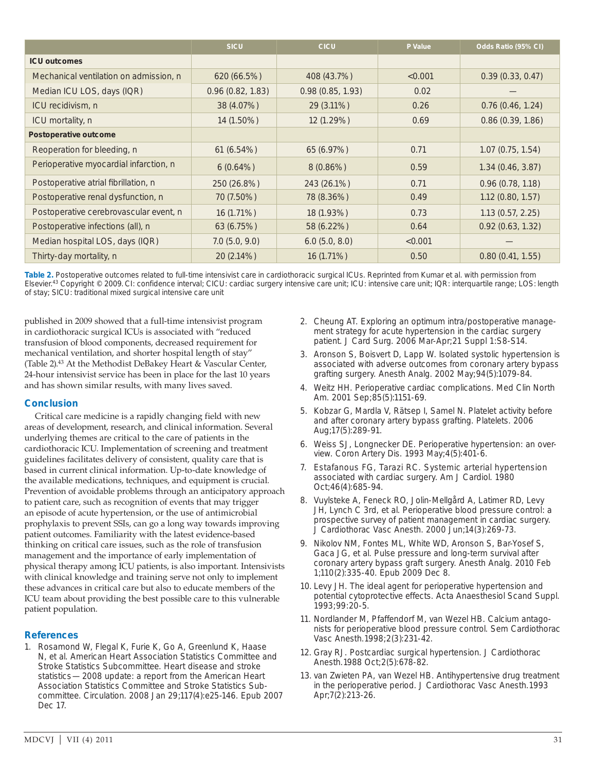|                                        | <b>SICU</b>      | <b>CICU</b>      | P Value | Odds Ratio (95% CI) |
|----------------------------------------|------------------|------------------|---------|---------------------|
| <b>ICU outcomes</b>                    |                  |                  |         |                     |
| Mechanical ventilation on admission, n | 620 (66.5%)      | 408 (43.7%)      | < 0.001 | 0.39(0.33, 0.47)    |
| Median ICU LOS, days (IQR)             | 0.96(0.82, 1.83) | 0.98(0.85, 1.93) | 0.02    |                     |
| ICU recidivism, n                      | 38 (4.07%)       | 29 (3.11%)       | 0.26    | 0.76(0.46, 1.24)    |
| ICU mortality, n                       | 14 (1.50%)       | 12 (1.29%)       | 0.69    | 0.86(0.39, 1.86)    |
| Postoperative outcome                  |                  |                  |         |                     |
| Reoperation for bleeding, n            | 61(6.54%)        | 65 (6.97%)       | 0.71    | 1.07(0.75, 1.54)    |
| Perioperative myocardial infarction, n | $6(0.64\%)$      | $8(0.86\%)$      | 0.59    | 1.34(0.46, 3.87)    |
| Postoperative atrial fibrillation, n   | 250 (26.8%)      | 243 (26.1%)      | 0.71    | 0.96(0.78, 1.18)    |
| Postoperative renal dysfunction, n     | 70 (7.50%)       | 78 (8.36%)       | 0.49    | 1.12(0.80, 1.57)    |
| Postoperative cerebrovascular event, n | 16 (1.71%)       | 18 (1.93%)       | 0.73    | 1.13(0.57, 2.25)    |
| Postoperative infections (all), n      | 63(6.75%)        | 58 (6.22%)       | 0.64    | 0.92(0.63, 1.32)    |
| Median hospital LOS, days (IQR)        | 7.0(5.0, 9.0)    | 6.0(5.0, 8.0)    | < 0.001 |                     |
| Thirty-day mortality, n                | 20 (2.14%)       | 16 (1.71%)       | 0.50    | 0.80(0.41, 1.55)    |

**Table 2.** Postoperative outcomes related to full-time intensivist care in cardiothoracic surgical ICUs. Reprinted from Kumar et al. with permission from Elsevier.43 Copyright © 2009. CI: confidence interval; CICU: cardiac surgery intensive care unit; ICU: intensive care unit; IQR: interquartile range; LOS: length of stay; SICU: traditional mixed surgical intensive care unit

published in 2009 showed that a full-time intensivist program in cardiothoracic surgical ICUs is associated with "reduced transfusion of blood components, decreased requirement for mechanical ventilation, and shorter hospital length of stay" (Table 2).43 At the Methodist DeBakey Heart & Vascular Center, 24-hour intensivist service has been in place for the last 10 years and has shown similar results, with many lives saved.

## **Conclusion**

Critical care medicine is a rapidly changing field with new areas of development, research, and clinical information. Several underlying themes are critical to the care of patients in the cardiothoracic ICU. Implementation of screening and treatment guidelines facilitates delivery of consistent, quality care that is based in current clinical information. Up-to-date knowledge of the available medications, techniques, and equipment is crucial. Prevention of avoidable problems through an anticipatory approach to patient care, such as recognition of events that may trigger an episode of acute hypertension, or the use of antimicrobial prophylaxis to prevent SSIs, can go a long way towards improving patient outcomes. Familiarity with the latest evidence-based thinking on critical care issues, such as the role of transfusion management and the importance of early implementation of physical therapy among ICU patients, is also important. Intensivists with clinical knowledge and training serve not only to implement these advances in critical care but also to educate members of the ICU team about providing the best possible care to this vulnerable patient population.

## **References**

1. Rosamond W, Flegal K, Furie K, Go A, Greenlund K, Haase N, et al. American Heart Association Statistics Committee and Stroke Statistics Subcommittee. Heart disease and stroke statistics — 2008 update: a report from the American Heart Association Statistics Committee and Stroke Statistics Subcommittee. Circulation. 2008 Jan 29;117(4):e25-146. Epub 2007 Dec 17.

- 2. Cheung AT. Exploring an optimum intra/postoperative management strategy for acute hypertension in the cardiac surgery patient. J Card Surg. 2006 Mar-Apr;21 Suppl 1:S8-S14.
- 3. Aronson S, Boisvert D, Lapp W. Isolated systolic hypertension is associated with adverse outcomes from coronary artery bypass grafting surgery. Anesth Analg. 2002 May;94(5):1079-84.
- 4. Weitz HH. Perioperative cardiac complications. Med Clin North Am. 2001 Sep;85(5):1151-69.
- 5. Kobzar G, Mardla V, Rätsep I, Samel N. Platelet activity before and after coronary artery bypass grafting. Platelets. 2006 Aug;17(5):289-91.
- 6. Weiss SJ, Longnecker DE. Perioperative hypertension: an overview. Coron Artery Dis. 1993 May;4(5):401-6.
- 7. Estafanous FG, Tarazi RC. Systemic arterial hypertension associated with cardiac surgery. Am J Cardiol. 1980 Oct;46(4):685-94.
- 8. Vuylsteke A, Feneck RO, Jolin-Mellgård A, Latimer RD, Levy JH, Lynch C 3rd, et al. Perioperative blood pressure control: a prospective survey of patient management in cardiac surgery. J Cardiothorac Vasc Anesth. 2000 Jun;14(3):269-73.
- 9. Nikolov NM, Fontes ML, White WD, Aronson S, Bar-Yosef S, Gaca JG, et al. Pulse pressure and long-term survival after coronary artery bypass graft surgery. Anesth Analg. 2010 Feb 1;110(2):335-40. Epub 2009 Dec 8.
- 10. Levy JH. The ideal agent for perioperative hypertension and potential cytoprotective effects. Acta Anaesthesiol Scand Suppl. 1993;99:20-5.
- 11. Nordlander M, Pfaffendorf M, van Wezel HB. Calcium antagonists for perioperative blood pressure control. Sem Cardiothorac Vasc Anesth. 1998;2(3):231-42.
- 12. Gray RJ. Postcardiac surgical hypertension. J Cardiothorac Anesth. 1988 Oct;2(5):678-82.
- 13. van Zwieten PA, van Wezel HB. Antihypertensive drug treatment in the perioperative period. J Cardiothorac Vasc Anesth. 1993 Apr;7(2):213-26.